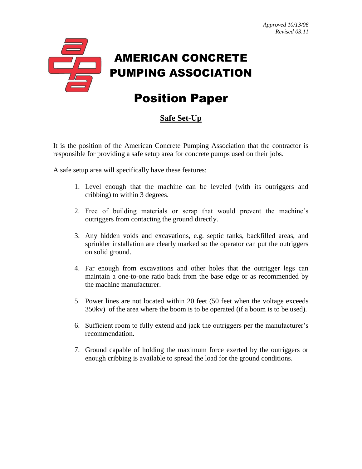

## Position Paper

## **Safe Set-Up**

It is the position of the American Concrete Pumping Association that the contractor is responsible for providing a safe setup area for concrete pumps used on their jobs.

A safe setup area will specifically have these features:

- 1. Level enough that the machine can be leveled (with its outriggers and cribbing) to within 3 degrees.
- 2. Free of building materials or scrap that would prevent the machine's outriggers from contacting the ground directly.
- 3. Any hidden voids and excavations, e.g. septic tanks, backfilled areas, and sprinkler installation are clearly marked so the operator can put the outriggers on solid ground.
- 4. Far enough from excavations and other holes that the outrigger legs can maintain a one-to-one ratio back from the base edge or as recommended by the machine manufacturer.
- 5. Power lines are not located within 20 feet (50 feet when the voltage exceeds 350kv) of the area where the boom is to be operated (if a boom is to be used).
- 6. Sufficient room to fully extend and jack the outriggers per the manufacturer's recommendation.
- 7. Ground capable of holding the maximum force exerted by the outriggers or enough cribbing is available to spread the load for the ground conditions.